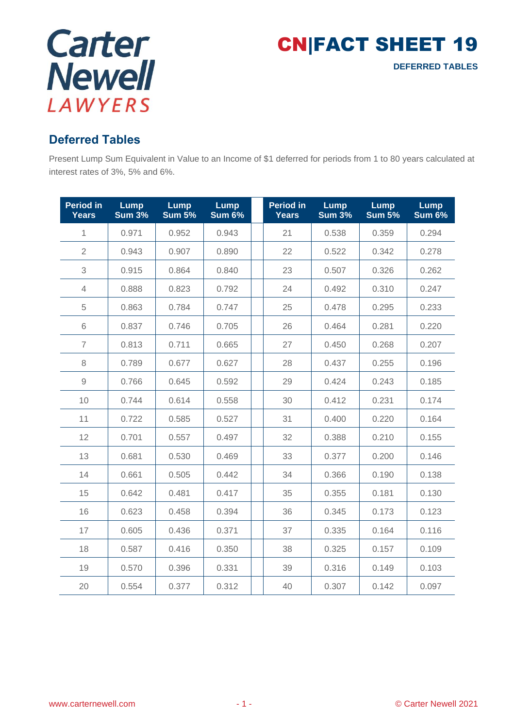

CN|FACT SHEET 19 **DEFERRED TABLES**

## **Deferred Tables**

Present Lump Sum Equivalent in Value to an Income of \$1 deferred for periods from 1 to 80 years calculated at interest rates of 3%, 5% and 6%.

| <b>Period in</b><br><b>Years</b> | <b>Lump</b><br><b>Sum 3%</b> | <b>Lump</b><br><b>Sum 5%</b> | <b>Lump</b><br><b>Sum 6%</b> | <b>Period in</b><br><b>Years</b> | Lump<br><b>Sum 3%</b> | Lump<br><b>Sum 5%</b> | <b>Lump</b><br><b>Sum 6%</b> |
|----------------------------------|------------------------------|------------------------------|------------------------------|----------------------------------|-----------------------|-----------------------|------------------------------|
| $\mathbf{1}$                     | 0.971                        | 0.952                        | 0.943                        | 21                               | 0.538                 | 0.359                 | 0.294                        |
| $\overline{2}$                   | 0.943                        | 0.907                        | 0.890                        | 22                               | 0.522                 | 0.342                 | 0.278                        |
| 3                                | 0.915                        | 0.864                        | 0.840                        | 23                               | 0.507                 | 0.326                 | 0.262                        |
| $\overline{4}$                   | 0.888                        | 0.823                        | 0.792                        | 24                               | 0.492                 | 0.310                 | 0.247                        |
| 5                                | 0.863                        | 0.784                        | 0.747                        | 25                               | 0.478                 | 0.295                 | 0.233                        |
| 6                                | 0.837                        | 0.746                        | 0.705                        | 26                               | 0.464                 | 0.281                 | 0.220                        |
| $\overline{7}$                   | 0.813                        | 0.711                        | 0.665                        | 27                               | 0.450                 | 0.268                 | 0.207                        |
| 8                                | 0.789                        | 0.677                        | 0.627                        | 28                               | 0.437                 | 0.255                 | 0.196                        |
| $\mathcal{G}% _{0}$              | 0.766                        | 0.645                        | 0.592                        | 29                               | 0.424                 | 0.243                 | 0.185                        |
| 10                               | 0.744                        | 0.614                        | 0.558                        | 30                               | 0.412                 | 0.231                 | 0.174                        |
| 11                               | 0.722                        | 0.585                        | 0.527                        | 31                               | 0.400                 | 0.220                 | 0.164                        |
| 12                               | 0.701                        | 0.557                        | 0.497                        | 32                               | 0.388                 | 0.210                 | 0.155                        |
| 13                               | 0.681                        | 0.530                        | 0.469                        | 33                               | 0.377                 | 0.200                 | 0.146                        |
| 14                               | 0.661                        | 0.505                        | 0.442                        | 34                               | 0.366                 | 0.190                 | 0.138                        |
| 15                               | 0.642                        | 0.481                        | 0.417                        | 35                               | 0.355                 | 0.181                 | 0.130                        |
| 16                               | 0.623                        | 0.458                        | 0.394                        | 36                               | 0.345                 | 0.173                 | 0.123                        |
| 17                               | 0.605                        | 0.436                        | 0.371                        | 37                               | 0.335                 | 0.164                 | 0.116                        |
| 18                               | 0.587                        | 0.416                        | 0.350                        | 38                               | 0.325                 | 0.157                 | 0.109                        |
| 19                               | 0.570                        | 0.396                        | 0.331                        | 39                               | 0.316                 | 0.149                 | 0.103                        |
| 20                               | 0.554                        | 0.377                        | 0.312                        | 40                               | 0.307                 | 0.142                 | 0.097                        |